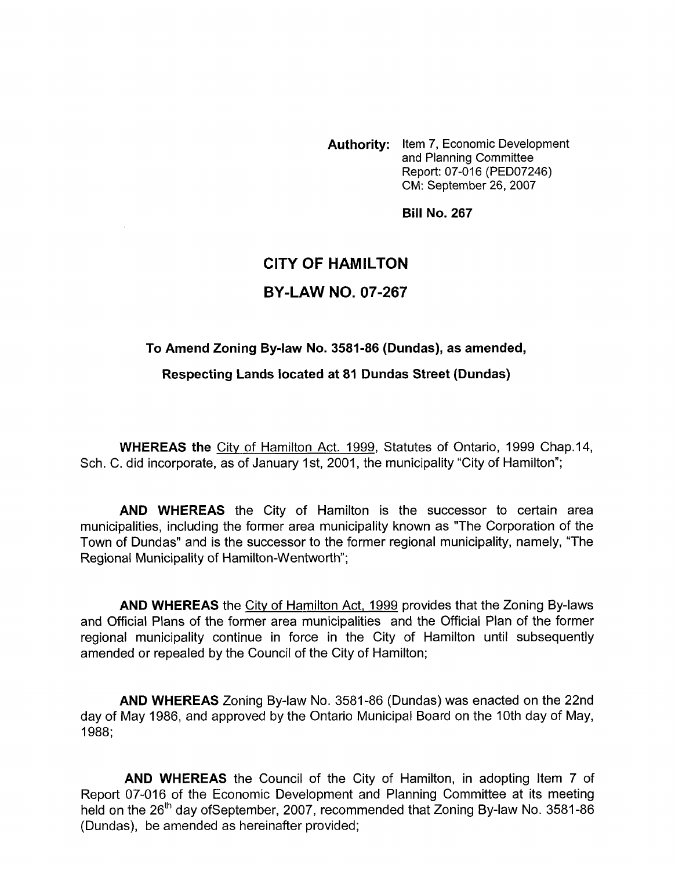**Authority:** Item **7,** Economic Development and Planning Committee Report: 07-016 (PED07246) CM: September 26,2007

**Bill No. 267** 

# **CITY OF HAMILTON BY-LAW NO. 07-267**

#### To Amend Zoning By-law No. 3581-86 (Dundas), as amended,

**Respecting Lands located at 81 Dundas Street (Dundas)** 

**WHEREAS the** City of Hamilton Act. 1999, Statutes of Ontario, 1999 Chap.14, Sch. C. did incorporate, as of January 1st, 2001, the municipality "City of Hamilton";

**AND WHEREAS** the City of Hamilton is the successor to certain area municipalities, including the former area municipality known as "The Corporation of the Town of Dundas" and is the successor to the former regional municipality, namely, "The Regional Municipality of Hamilton-Wentworth";

**AND WHEREAS** the Citv of Hamilton Act, 1999 provides that the Zoning By-laws and Official Plans of the former area municipalities and the Official Plan of the former regional municipality continue in force in the City of Hamilton until subsequently amended or repealed by the Council of the City of Hamilton;

**AND WHEREAS** Zoning By-law No. 3581-86 (Dundas) was enacted on the 22nd day of May 1986, and approved by the Ontario Municipal Board on the 10th day of May, 1988;

**AND WHEREAS** the Council of the City of Hamilton, in adopting Item 7 of Report 07-016 of the Economic Development and Planning Committee at its meeting held on the 26<sup>th</sup> day ofSeptember, 2007, recommended that Zoning By-law No. 3581-86 (Dundas), be amended as hereinafter provided;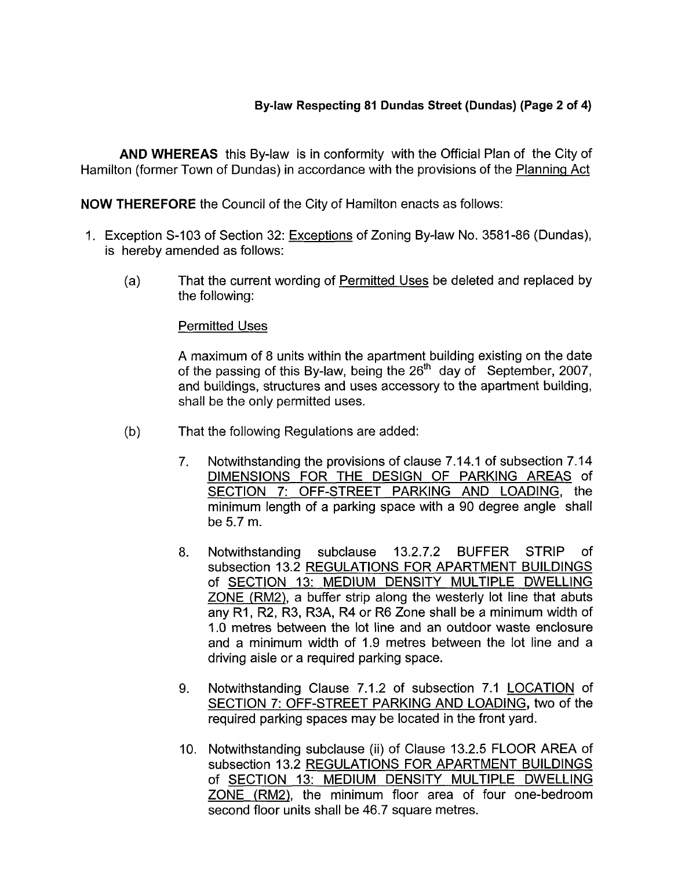## **Bylaw Respecting 81 Dundas Street (Dundas) (Page 2 of 4)**

**AND WHEREAS** this By-law is in conformity with the Official Plan of the City of Hamilton (former Town of Dundas) in accordance with the provisions of the Plannina Act

**NOW THEREFORE** the Council of the City of Hamilton enacts as follows:

- 1. Exception S-I03 of Section 32: Exceptions of Zoning By-law No. 3581-86 (Dundas), is hereby amended as follows:
	- (4 That the current wording of Permitted Uses be deleted and replaced by the following:

#### Permitted Uses

A maximum of 8 units within the apartment building existing on the date of the passing of this By-law, being the 26<sup>th</sup> day of September, 2007, and buildings, structures and uses accessory to the apartment building, shall be the only permitted uses.

- (b) That the following Regulations are added:
	- 7. Notwithstanding the provisions of clause 7.14.1 of subsection 7.14 DIMENSIONS FOR THE DESIGN OF PARKING AREAS of SECTION 7: OFF-STREET PARKING AND LOADING, the minimum length of a parking space with a 90 degree angle shall be 5.7 m.
	- 8. Notwithstanding subclause 13.2.7.2 BUFFER STRIP of subsection 13.2 REGULATIONS FOR APARTMENT BUILDINGS of SECTION 13: MEDIUM DENSITY MULTIPLE DWELLING ZONE (RM2), a buffer strip along the westerly lot line that abuts any RI, R2, R3, R3A, R4 or R6 Zone shall be a minimum width of 1.0 metres between the lot line and an outdoor waste enclosure and a minimum width of 1.9 metres between the lot line and a driving aisle or a required parking space.
	- 9. Notwithstanding Clause 7.1.2 of subsection 7.1 LOCATION of SECTION 7: OFF-STREET PARKING AND LOADING, two of the required parking spaces may be located in the front yard.
	- 10. Notwithstanding subclause (ii) of Clause 13.2.5 FLOOR AREA of subsection 13.2 REGULATIONS FOR APARTMENT BUILDINGS of SECTION 13: MEDIUM DENSITY MULTIPLE DWELLING ZONE (RM2), the minimum floor area of four one-bedroom second floor units shall be 46.7 square metres.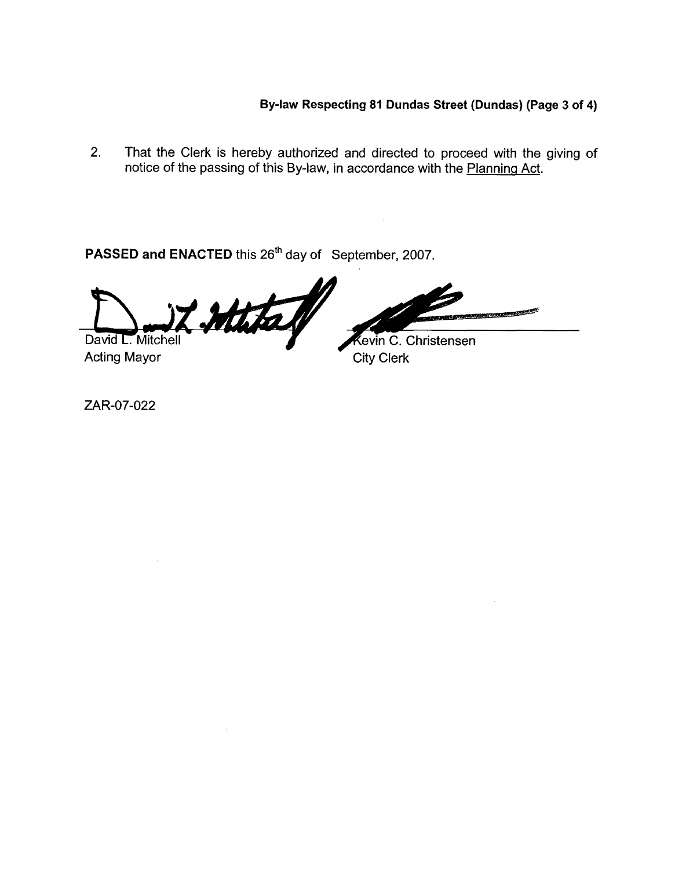## **By-law Respecting 81 Dundas Street (Dundas) (Page 3 of 4)**

2. That the Clerk is hereby authorized and directed to proceed with the giving of notice of the passing of this By-law, in accordance with the Planning Act.

**PASSED and ENACTED** this 26'h day of September, 2007.

Mital David L. Mitchell

Acting Mayor City Clerk

seeraatii E

**Kevin C. Christensen** 

ZAR-07-022